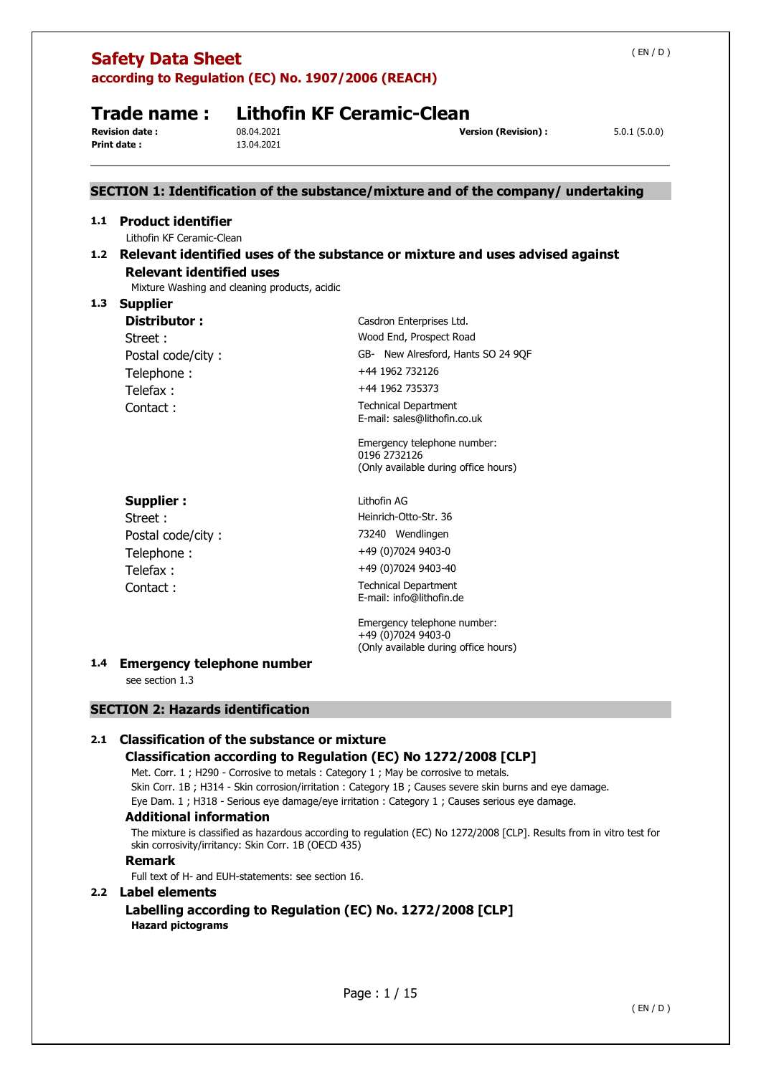|     | <b>Safety Data Sheet</b>                               |                                               | according to Regulation (EC) No. 1907/2006 (REACH)                                                                                                                                                                                                                                                                                                              | (EN/D)       |
|-----|--------------------------------------------------------|-----------------------------------------------|-----------------------------------------------------------------------------------------------------------------------------------------------------------------------------------------------------------------------------------------------------------------------------------------------------------------------------------------------------------------|--------------|
|     | Trade name :<br><b>Revision date:</b>                  | 08.04.2021                                    | <b>Lithofin KF Ceramic-Clean</b><br><b>Version (Revision):</b>                                                                                                                                                                                                                                                                                                  | 5.0.1(5.0.0) |
|     | Print date:                                            | 13.04.2021                                    |                                                                                                                                                                                                                                                                                                                                                                 |              |
|     |                                                        |                                               | SECTION 1: Identification of the substance/mixture and of the company/ undertaking                                                                                                                                                                                                                                                                              |              |
| 1.1 | <b>Product identifier</b><br>Lithofin KF Ceramic-Clean |                                               |                                                                                                                                                                                                                                                                                                                                                                 |              |
|     | <b>Relevant identified uses</b>                        | Mixture Washing and cleaning products, acidic | 1.2 Relevant identified uses of the substance or mixture and uses advised against                                                                                                                                                                                                                                                                               |              |
| 1.3 | <b>Supplier</b><br>Distributor:<br>Street:             |                                               | Casdron Enterprises Ltd.<br>Wood End, Prospect Road                                                                                                                                                                                                                                                                                                             |              |
|     | Postal code/city:<br>Telephone:                        |                                               | GB- New Alresford, Hants SO 24 9QF<br>+44 1962 732126                                                                                                                                                                                                                                                                                                           |              |
|     | Telefax:<br>Contact:                                   |                                               | +44 1962 735373<br><b>Technical Department</b>                                                                                                                                                                                                                                                                                                                  |              |
|     |                                                        |                                               | E-mail: sales@lithofin.co.uk<br>Emergency telephone number:<br>0196 2732126<br>(Only available during office hours)                                                                                                                                                                                                                                             |              |
|     | <b>Supplier:</b><br>Street:                            |                                               | Lithofin AG<br>Heinrich-Otto-Str. 36                                                                                                                                                                                                                                                                                                                            |              |
|     | Postal code/city:<br>Telephone:                        |                                               | 73240 Wendlingen<br>+49 (0)7024 9403-0                                                                                                                                                                                                                                                                                                                          |              |
|     | Telefax:<br>Contact:                                   |                                               | +49 (0)7024 9403-40<br><b>Technical Department</b><br>E-mail: info@lithofin.de                                                                                                                                                                                                                                                                                  |              |
|     |                                                        |                                               | Emergency telephone number:<br>+49 (0)7024 9403-0<br>(Only available during office hours)                                                                                                                                                                                                                                                                       |              |
|     | 1.4 Emergency telephone number<br>see section 1.3      |                                               |                                                                                                                                                                                                                                                                                                                                                                 |              |
|     | <b>SECTION 2: Hazards identification</b>               |                                               |                                                                                                                                                                                                                                                                                                                                                                 |              |
| 2.1 | <b>Classification of the substance or mixture</b>      |                                               | Classification according to Regulation (EC) No 1272/2008 [CLP]<br>Met. Corr. 1; H290 - Corrosive to metals: Category 1; May be corrosive to metals.<br>Skin Corr. 1B; H314 - Skin corrosion/irritation : Category 1B; Causes severe skin burns and eye damage.<br>Eye Dam. 1; H318 - Serious eye damage/eye irritation : Category 1; Causes serious eye damage. |              |

### **Additional information**

The mixture is classified as hazardous according to regulation (EC) No 1272/2008 [CLP]. Results from in vitro test for skin corrosivity/irritancy: Skin Corr. 1B (OECD 435)

### **Remark**

Full text of H- and EUH-statements: see section 16.

### **2.2 Label elements**

**Labelling according to Regulation (EC) No. 1272/2008 [CLP] Hazard pictograms**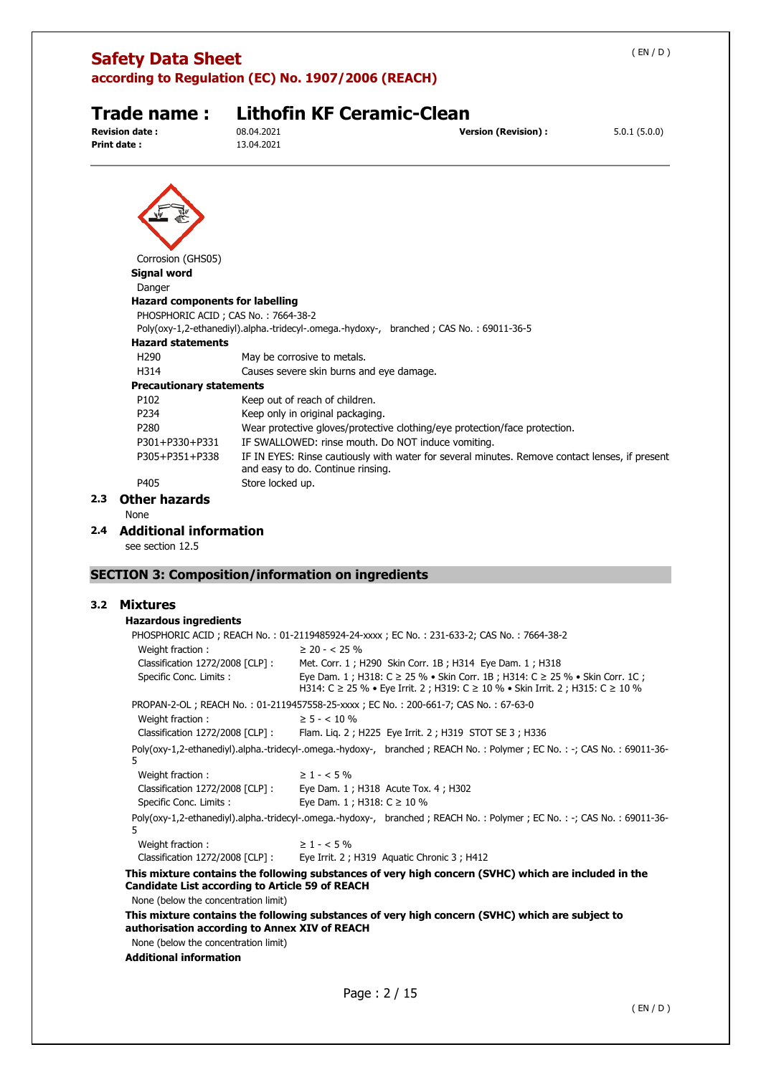|     | <b>Safety Data Sheet</b>                                                       | according to Regulation (EC) No. 1907/2006 (REACH)                                      |                                                                                                | (EN/D)       |
|-----|--------------------------------------------------------------------------------|-----------------------------------------------------------------------------------------|------------------------------------------------------------------------------------------------|--------------|
|     | Trade name :<br><b>Revision date:</b><br>Print date:                           | <b>Lithofin KF Ceramic-Clean</b><br>08.04.2021<br>13.04.2021                            | <b>Version (Revision):</b>                                                                     | 5.0.1(5.0.0) |
|     |                                                                                |                                                                                         |                                                                                                |              |
|     | Corrosion (GHS05)                                                              |                                                                                         |                                                                                                |              |
|     | <b>Signal word</b>                                                             |                                                                                         |                                                                                                |              |
|     | Danger                                                                         |                                                                                         |                                                                                                |              |
|     | <b>Hazard components for labelling</b><br>PHOSPHORIC ACID ; CAS No.: 7664-38-2 |                                                                                         |                                                                                                |              |
|     |                                                                                | Poly(oxy-1,2-ethanediyl).alpha.-tridecyl-.omega.-hydoxy-, branched; CAS No.: 69011-36-5 |                                                                                                |              |
|     | <b>Hazard statements</b>                                                       |                                                                                         |                                                                                                |              |
|     | H <sub>290</sub>                                                               | May be corrosive to metals.                                                             |                                                                                                |              |
|     | H314                                                                           | Causes severe skin burns and eye damage.                                                |                                                                                                |              |
|     | <b>Precautionary statements</b>                                                |                                                                                         |                                                                                                |              |
|     | P102                                                                           | Keep out of reach of children.                                                          |                                                                                                |              |
|     | P234                                                                           | Keep only in original packaging.                                                        |                                                                                                |              |
|     | P280                                                                           |                                                                                         | Wear protective gloves/protective clothing/eye protection/face protection.                     |              |
|     | P301+P330+P331                                                                 | IF SWALLOWED: rinse mouth. Do NOT induce vomiting.                                      |                                                                                                |              |
|     | P305+P351+P338                                                                 | and easy to do. Continue rinsing.                                                       | IF IN EYES: Rinse cautiously with water for several minutes. Remove contact lenses, if present |              |
|     | P405                                                                           | Store locked up.                                                                        |                                                                                                |              |
| 2.3 | <b>Other hazards</b>                                                           |                                                                                         |                                                                                                |              |
|     | None                                                                           |                                                                                         |                                                                                                |              |
| 2.4 | <b>Additional information</b>                                                  |                                                                                         |                                                                                                |              |
|     | see section 12.5                                                               |                                                                                         |                                                                                                |              |

## **SECTION 3: Composition/information on ingredients**

### **3.2 Mixtures**

### **Hazardous ingredients**

|                                                 | PHOSPHORIC ACID; REACH No.: 01-2119485924-24-xxxx; EC No.: 231-633-2; CAS No.: 7664-38-2                                                                       |
|-------------------------------------------------|----------------------------------------------------------------------------------------------------------------------------------------------------------------|
| Weight fraction:                                | $\geq$ 20 - < 25 %                                                                                                                                             |
|                                                 | Classification 1272/2008 [CLP]: Met. Corr. 1; H290 Skin Corr. 1B; H314 Eye Dam. 1; H318                                                                        |
| Specific Conc. Limits :                         | Eye Dam. 1; H318: C ≥ 25 % • Skin Corr. 1B; H314: C ≥ 25 % • Skin Corr. 1C;<br>H314: C ≥ 25 % • Eye Irrit. 2 ; H319: C ≥ 10 % • Skin Irrit. 2 ; H315: C ≥ 10 % |
|                                                 | PROPAN-2-OL; REACH No.: 01-2119457558-25-xxxx; EC No.: 200-661-7; CAS No.: 67-63-0                                                                             |
| Weight fraction:                                | $\geq 5 - < 10 \%$                                                                                                                                             |
|                                                 | Classification 1272/2008 [CLP] : Flam. Lig. 2 ; H225 Eye Irrit. 2 ; H319 STOT SE 3 ; H336                                                                      |
| 5.                                              | Poly(oxy-1,2-ethanediyl).alpha.-tridecyl-.omega.-hydoxy-, branched; REACH No.: Polymer; EC No.: -; CAS No.: 69011-36-                                          |
| Weight fraction:                                | $\geq 1 - 5\%$                                                                                                                                                 |
|                                                 | Classification 1272/2008 [CLP] : Eye Dam. 1 ; H318 Acute Tox. 4 ; H302                                                                                         |
| Specific Conc. Limits:                          | Eye Dam. 1 ; H318: $C \ge 10 \%$                                                                                                                               |
| 5.                                              | Poly(oxy-1,2-ethanediyl).alpha.-tridecyl-.omega.-hydoxy-, branched; REACH No.: Polymer; EC No.: -; CAS No.: 69011-36-                                          |
| $\geq 1 - 5\%$<br>Weight fraction:              |                                                                                                                                                                |
|                                                 | Classification 1272/2008 [CLP] : Eye Irrit. 2; H319 Aquatic Chronic 3; H412                                                                                    |
| Candidate List according to Article 59 of REACH | This mixture contains the following substances of very high concern (SVHC) which are included in the                                                           |
| None (below the concentration limit)            |                                                                                                                                                                |

**This mixture contains the following substances of very high concern (SVHC) which are subject to authorisation according to Annex XIV of REACH**

None (below the concentration limit)

**Additional information**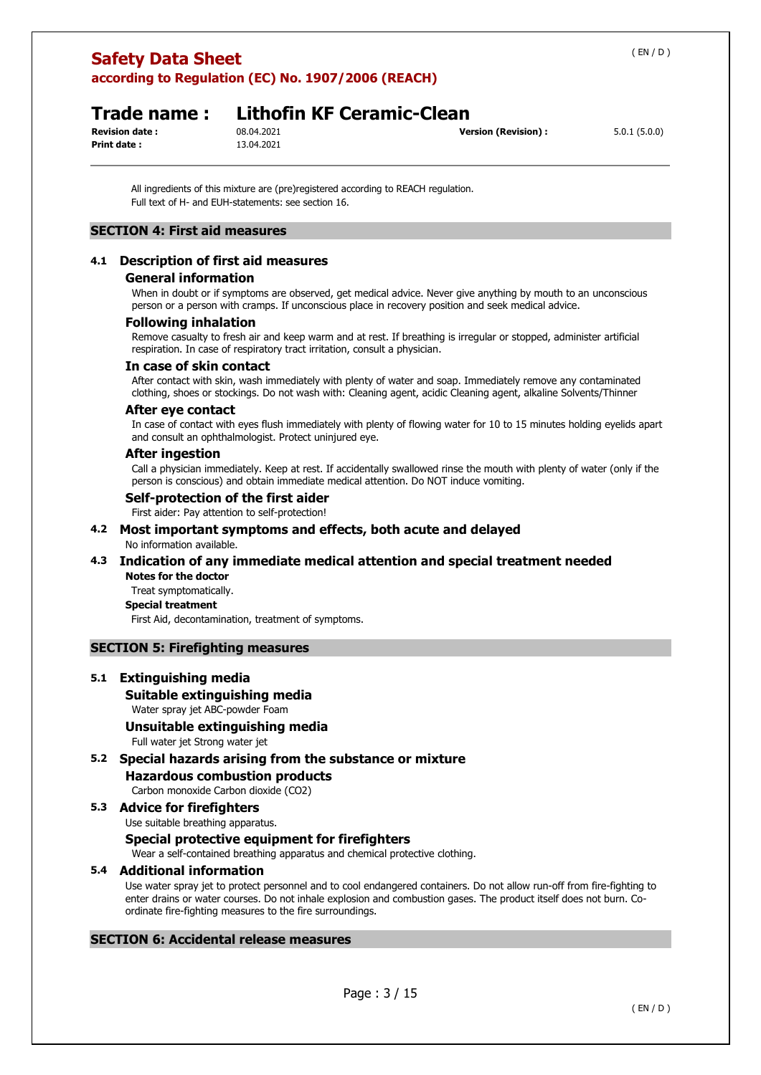## **Safety Data Sheet according to Regulation (EC) No. 1907/2006 (REACH)**

**Print date :** 13.04.2021

## **Trade name : Lithofin KF Ceramic-Clean**

**Revision date :** 08.04.2021 **Version (Revision) :** 5.0.1 (5.0.0)

All ingredients of this mixture are (pre)registered according to REACH regulation. Full text of H- and EUH-statements: see section 16.

### **SECTION 4: First aid measures**

### **4.1 Description of first aid measures**

### **General information**

When in doubt or if symptoms are observed, get medical advice. Never give anything by mouth to an unconscious person or a person with cramps. If unconscious place in recovery position and seek medical advice.

### **Following inhalation**

Remove casualty to fresh air and keep warm and at rest. If breathing is irregular or stopped, administer artificial respiration. In case of respiratory tract irritation, consult a physician.

### **In case of skin contact**

After contact with skin, wash immediately with plenty of water and soap. Immediately remove any contaminated clothing, shoes or stockings. Do not wash with: Cleaning agent, acidic Cleaning agent, alkaline Solvents/Thinner

### **After eye contact**

In case of contact with eyes flush immediately with plenty of flowing water for 10 to 15 minutes holding eyelids apart and consult an ophthalmologist. Protect uninjured eye.

### **After ingestion**

Call a physician immediately. Keep at rest. If accidentally swallowed rinse the mouth with plenty of water (only if the person is conscious) and obtain immediate medical attention. Do NOT induce vomiting.

### **Self-protection of the first aider**

First aider: Pay attention to self-protection!

### **4.2 Most important symptoms and effects, both acute and delayed**  No information available.

### **4.3 Indication of any immediate medical attention and special treatment needed Notes for the doctor**

Treat symptomatically.

### **Special treatment**

First Aid, decontamination, treatment of symptoms.

### **SECTION 5: Firefighting measures**

### **5.1 Extinguishing media**

### **Suitable extinguishing media**

Water spray jet ABC-powder Foam

### **Unsuitable extinguishing media**

Full water jet Strong water jet

### **5.2 Special hazards arising from the substance or mixture**

**Hazardous combustion products** 

Carbon monoxide Carbon dioxide (CO2)

### **5.3 Advice for firefighters**

Use suitable breathing apparatus.

### **Special protective equipment for firefighters**

Wear a self-contained breathing apparatus and chemical protective clothing.

### **5.4 Additional information**

Use water spray jet to protect personnel and to cool endangered containers. Do not allow run-off from fire-fighting to enter drains or water courses. Do not inhale explosion and combustion gases. The product itself does not burn. Coordinate fire-fighting measures to the fire surroundings.

### **SECTION 6: Accidental release measures**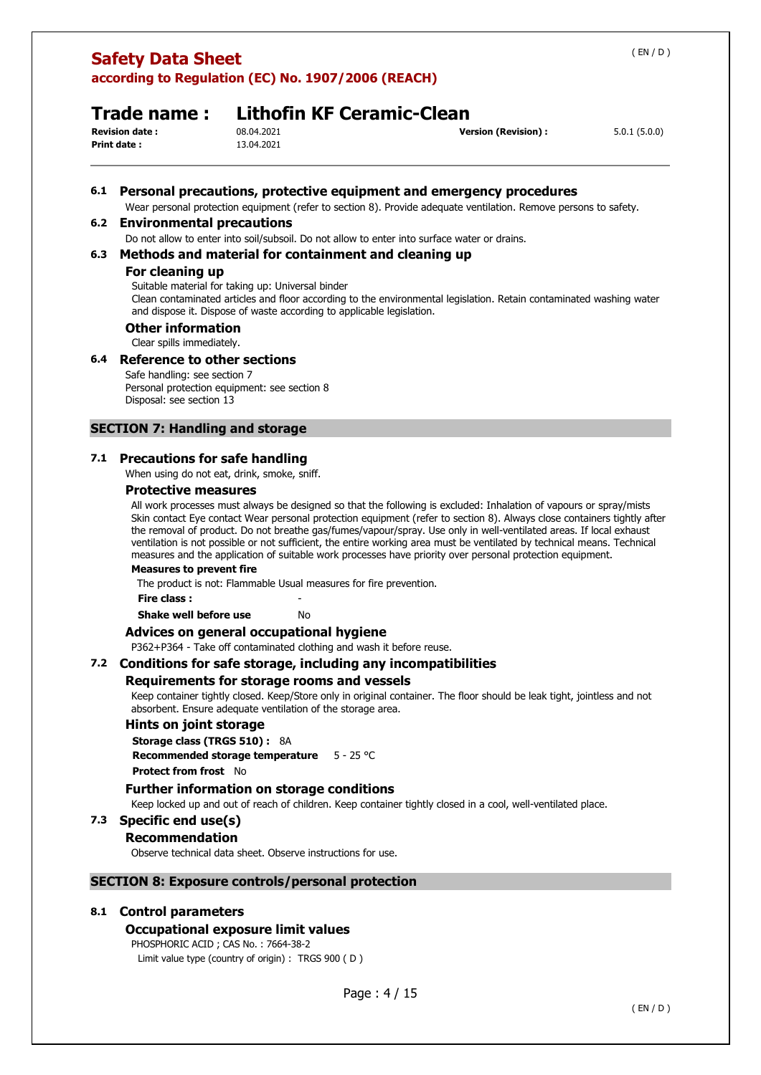# **Safety Data Sheet**

**according to Regulation (EC) No. 1907/2006 (REACH)** 

## **Trade name : Lithofin KF Ceramic-Clean**

**Print date :** 13.04.2021

**Revision date :** 08.04.2021 **Version (Revision) :** 5.0.1 (5.0.0)

### **6.1 Personal precautions, protective equipment and emergency procedures**

Wear personal protection equipment (refer to section 8). Provide adequate ventilation. Remove persons to safety.

### **6.2 Environmental precautions**

Do not allow to enter into soil/subsoil. Do not allow to enter into surface water or drains.

### **6.3 Methods and material for containment and cleaning up**

### **For cleaning up**

Suitable material for taking up: Universal binder

Clean contaminated articles and floor according to the environmental legislation. Retain contaminated washing water and dispose it. Dispose of waste according to applicable legislation.

### **Other information**

Clear spills immediately.

### **6.4 Reference to other sections**

Safe handling: see section 7 Personal protection equipment: see section 8 Disposal: see section 13

### **SECTION 7: Handling and storage**

### **7.1 Precautions for safe handling**

When using do not eat, drink, smoke, sniff.

### **Protective measures**

All work processes must always be designed so that the following is excluded: Inhalation of vapours or spray/mists Skin contact Eye contact Wear personal protection equipment (refer to section 8). Always close containers tightly after the removal of product. Do not breathe gas/fumes/vapour/spray. Use only in well-ventilated areas. If local exhaust ventilation is not possible or not sufficient, the entire working area must be ventilated by technical means. Technical measures and the application of suitable work processes have priority over personal protection equipment.

### **Measures to prevent fire**

The product is not: Flammable Usual measures for fire prevention.

**Fire class :** -

**Shake well before use** No

### **Advices on general occupational hygiene**

P362+P364 - Take off contaminated clothing and wash it before reuse.

### **7.2 Conditions for safe storage, including any incompatibilities**

### **Requirements for storage rooms and vessels**

Keep container tightly closed. Keep/Store only in original container. The floor should be leak tight, jointless and not absorbent. Ensure adequate ventilation of the storage area.

### **Hints on joint storage**

**Storage class (TRGS 510) :** 8A

**Recommended storage temperature** 5 - 25 °C

**Protect from frost** No

### **Further information on storage conditions**

Keep locked up and out of reach of children. Keep container tightly closed in a cool, well-ventilated place.

### **7.3 Specific end use(s)**

### **Recommendation**

Observe technical data sheet. Observe instructions for use.

### **SECTION 8: Exposure controls/personal protection**

### **8.1 Control parameters**

### **Occupational exposure limit values**

PHOSPHORIC ACID ; CAS No. : 7664-38-2 Limit value type (country of origin) : TRGS 900 ( D )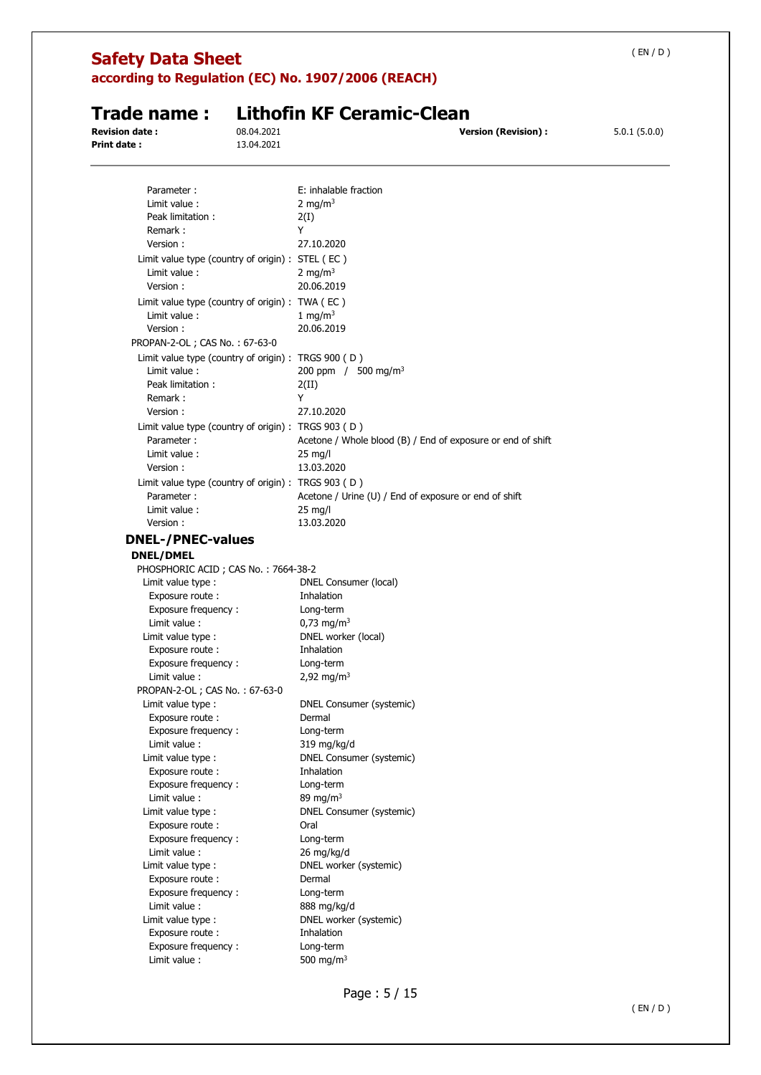| <b>Safety Data Sheet</b>                            |            |                                                             | (EN/D)       |
|-----------------------------------------------------|------------|-------------------------------------------------------------|--------------|
|                                                     |            | according to Regulation (EC) No. 1907/2006 (REACH)          |              |
| Trade name:                                         |            | <b>Lithofin KF Ceramic-Clean</b>                            |              |
| <b>Revision date:</b>                               | 08.04.2021 | <b>Version (Revision):</b>                                  | 5.0.1(5.0.0) |
| <b>Print date:</b>                                  | 13.04.2021 |                                                             |              |
| Parameter:                                          |            | E: inhalable fraction                                       |              |
| Limit value:                                        |            | 2 mg/m <sup>3</sup>                                         |              |
| Peak limitation:                                    |            | 2(I)                                                        |              |
| Remark:                                             |            | Y                                                           |              |
| Version:                                            |            | 27.10.2020                                                  |              |
| Limit value type (country of origin) : STEL (EC)    |            |                                                             |              |
| Limit value:<br>Version:                            |            | 2 mg/m <sup>3</sup><br>20.06.2019                           |              |
| Limit value type (country of origin) : TWA (EC)     |            |                                                             |              |
| Limit value:<br>Version:                            |            | 1 mg/m <sup>3</sup><br>20.06.2019                           |              |
| PROPAN-2-OL; CAS No.: 67-63-0                       |            |                                                             |              |
| Limit value type (country of origin) : TRGS 900 (D) |            |                                                             |              |
| Limit value:                                        |            | 200 ppm / $500 \text{ mg/m}^3$                              |              |
| Peak limitation:                                    |            | 2(II)                                                       |              |
| Remark:                                             |            | Y                                                           |              |
| Version:                                            |            | 27.10.2020                                                  |              |
|                                                     |            |                                                             |              |
| Limit value type (country of origin) : TRGS 903 (D) |            |                                                             |              |
| Parameter:<br>Limit value:                          |            | Acetone / Whole blood (B) / End of exposure or end of shift |              |
| Version:                                            |            | $25 \text{ mg/l}$<br>13.03.2020                             |              |
|                                                     |            |                                                             |              |
| Limit value type (country of origin) : TRGS 903 (D) |            |                                                             |              |
| Parameter:                                          |            | Acetone / Urine (U) / End of exposure or end of shift       |              |
| Limit value:<br>Version:                            |            | 25 mg/l<br>13.03.2020                                       |              |
|                                                     |            |                                                             |              |
| <b>DNEL-/PNEC-values</b>                            |            |                                                             |              |
| <b>DNEL/DMEL</b>                                    |            |                                                             |              |
| PHOSPHORIC ACID; CAS No.: 7664-38-2                 |            |                                                             |              |
| Limit value type :                                  |            | DNEL Consumer (local)                                       |              |
| Exposure route:                                     |            | Inhalation                                                  |              |
| Exposure frequency:                                 |            | Long-term<br>$0.73$ mg/m <sup>3</sup>                       |              |
| Limit value:                                        |            | DNEL worker (local)                                         |              |
| Limit value type :<br>Exposure route :              |            | Inhalation                                                  |              |
| Exposure frequency:                                 |            | Long-term                                                   |              |
| Limit value :                                       |            | 2,92 mg/m <sup>3</sup>                                      |              |
| PROPAN-2-OL; CAS No.: 67-63-0                       |            |                                                             |              |
| Limit value type :                                  |            | DNEL Consumer (systemic)                                    |              |
| Exposure route :                                    |            | Dermal                                                      |              |
| Exposure frequency:                                 |            | Long-term                                                   |              |
| Limit value :                                       |            | 319 mg/kg/d                                                 |              |
| Limit value type :                                  |            | DNEL Consumer (systemic)                                    |              |
| Exposure route:                                     |            | Inhalation                                                  |              |
| Exposure frequency:                                 |            | Long-term                                                   |              |
| Limit value :                                       |            | 89 mg/m $3$                                                 |              |
| Limit value type :                                  |            | DNEL Consumer (systemic)                                    |              |
| Exposure route :                                    |            | Oral                                                        |              |
| Exposure frequency:                                 |            | Long-term                                                   |              |
| Limit value :                                       |            | 26 mg/kg/d                                                  |              |
| Limit value type :                                  |            | DNEL worker (systemic)                                      |              |
| Exposure route :                                    |            | Dermal                                                      |              |
| Exposure frequency:                                 |            | Long-term                                                   |              |
| Limit value :                                       |            | 888 mg/kg/d                                                 |              |
| Limit value type :                                  |            | DNEL worker (systemic)                                      |              |
| Exposure route :                                    |            | Inhalation                                                  |              |
| Exposure frequency:                                 |            | Long-term                                                   |              |
| Limit value :                                       |            | 500 mg/m $3$                                                |              |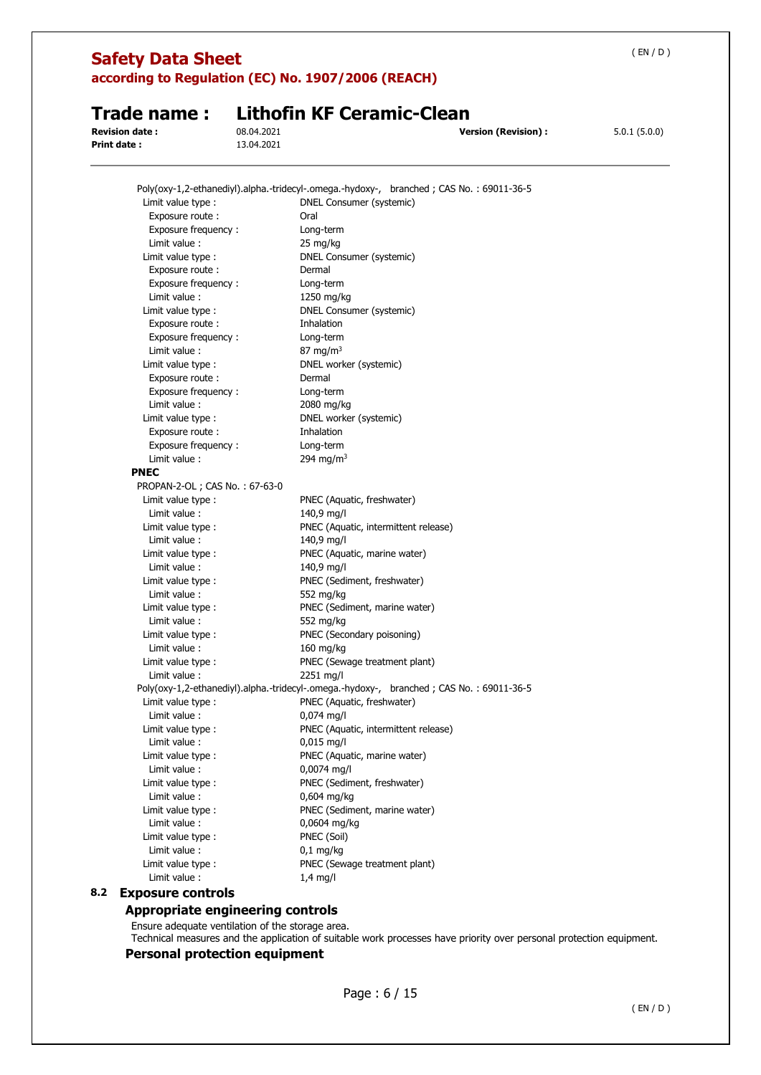| <b>Safety Data Sheet</b>             |                                                                                         | (EN/D)                                     |
|--------------------------------------|-----------------------------------------------------------------------------------------|--------------------------------------------|
|                                      | according to Regulation (EC) No. 1907/2006 (REACH)                                      |                                            |
| Trade name:                          | <b>Lithofin KF Ceramic-Clean</b>                                                        |                                            |
| <b>Revision date:</b><br>Print date: | 08.04.2021<br>13.04.2021                                                                | 5.0.1(5.0.0)<br><b>Version (Revision):</b> |
|                                      |                                                                                         |                                            |
|                                      | Poly(oxy-1,2-ethanediyl).alpha.-tridecyl-.omega.-hydoxy-, branched; CAS No.: 69011-36-5 |                                            |
| Limit value type :                   | DNEL Consumer (systemic)                                                                |                                            |
| Exposure route :                     | Oral                                                                                    |                                            |
| Exposure frequency:                  | Long-term                                                                               |                                            |
| Limit value :                        | 25 mg/kg                                                                                |                                            |
| Limit value type :                   | DNEL Consumer (systemic)                                                                |                                            |
| Exposure route:                      | Dermal                                                                                  |                                            |
| Exposure frequency:                  | Long-term                                                                               |                                            |
| Limit value :                        | 1250 mg/kg                                                                              |                                            |
| Limit value type :                   | DNEL Consumer (systemic)                                                                |                                            |
| Exposure route:                      | Inhalation                                                                              |                                            |
| Exposure frequency:                  | Long-term                                                                               |                                            |
| Limit value :                        | 87 mg/m $3$                                                                             |                                            |
| Limit value type :                   | DNEL worker (systemic)                                                                  |                                            |
| Exposure route:                      | Dermal                                                                                  |                                            |
| Exposure frequency:                  | Long-term                                                                               |                                            |
| Limit value:                         | 2080 mg/kg                                                                              |                                            |
| Limit value type :                   | DNEL worker (systemic)                                                                  |                                            |
| Exposure route :                     | Inhalation                                                                              |                                            |
| Exposure frequency:                  | Long-term                                                                               |                                            |
| Limit value:                         | 294 mg/m <sup>3</sup>                                                                   |                                            |
| <b>PNEC</b>                          |                                                                                         |                                            |
| PROPAN-2-OL; CAS No.: 67-63-0        |                                                                                         |                                            |
| Limit value type :                   | PNEC (Aquatic, freshwater)                                                              |                                            |
| Limit value:                         | 140,9 mg/l                                                                              |                                            |
| Limit value type :                   | PNEC (Aquatic, intermittent release)                                                    |                                            |
| Limit value:                         | 140,9 mg/l                                                                              |                                            |
| Limit value type :                   | PNEC (Aquatic, marine water)                                                            |                                            |
| Limit value :                        | 140,9 mg/l                                                                              |                                            |
| Limit value type :                   | PNEC (Sediment, freshwater)                                                             |                                            |
| Limit value :                        | 552 mg/kg                                                                               |                                            |
| Limit value type :                   | PNEC (Sediment, marine water)                                                           |                                            |
| Limit value:                         | 552 mg/kg                                                                               |                                            |
| Limit value type :                   | PNEC (Secondary poisoning)                                                              |                                            |
| Limit value :                        | 160 mg/kg<br>PNEC (Sewage treatment plant)                                              |                                            |
| Limit value type :<br>Limit value :  | 2251 mg/l                                                                               |                                            |
|                                      | Poly(oxy-1,2-ethanediyl).alpha.-tridecyl-.omega.-hydoxy-, branched; CAS No.: 69011-36-5 |                                            |
| Limit value type:                    | PNEC (Aquatic, freshwater)                                                              |                                            |
| Limit value:                         | $0,074$ mg/l                                                                            |                                            |
| Limit value type :                   | PNEC (Aquatic, intermittent release)                                                    |                                            |
| Limit value :                        | $0,015 \text{ mg/l}$                                                                    |                                            |
| Limit value type :                   |                                                                                         |                                            |
| Limit value:                         | PNEC (Aquatic, marine water)<br>0,0074 mg/l                                             |                                            |
| Limit value type :                   | PNEC (Sediment, freshwater)                                                             |                                            |
|                                      |                                                                                         |                                            |
| Limit value:                         | 0,604 mg/kg<br>PNEC (Sediment, marine water)                                            |                                            |
| Limit value type :                   |                                                                                         |                                            |
| Limit value:<br>Limit value type :   | 0,0604 mg/kg<br>PNEC (Soil)                                                             |                                            |
| Limit value:                         | $0,1$ mg/kg                                                                             |                                            |
| Limit value type :                   | PNEC (Sewage treatment plant)                                                           |                                            |
| Limit value :                        | $1.4$ mg/l                                                                              |                                            |
|                                      |                                                                                         |                                            |

## **Appropriate engineering controls**

Ensure adequate ventilation of the storage area. Technical measures and the application of suitable work processes have priority over personal protection equipment.

## **Personal protection equipment**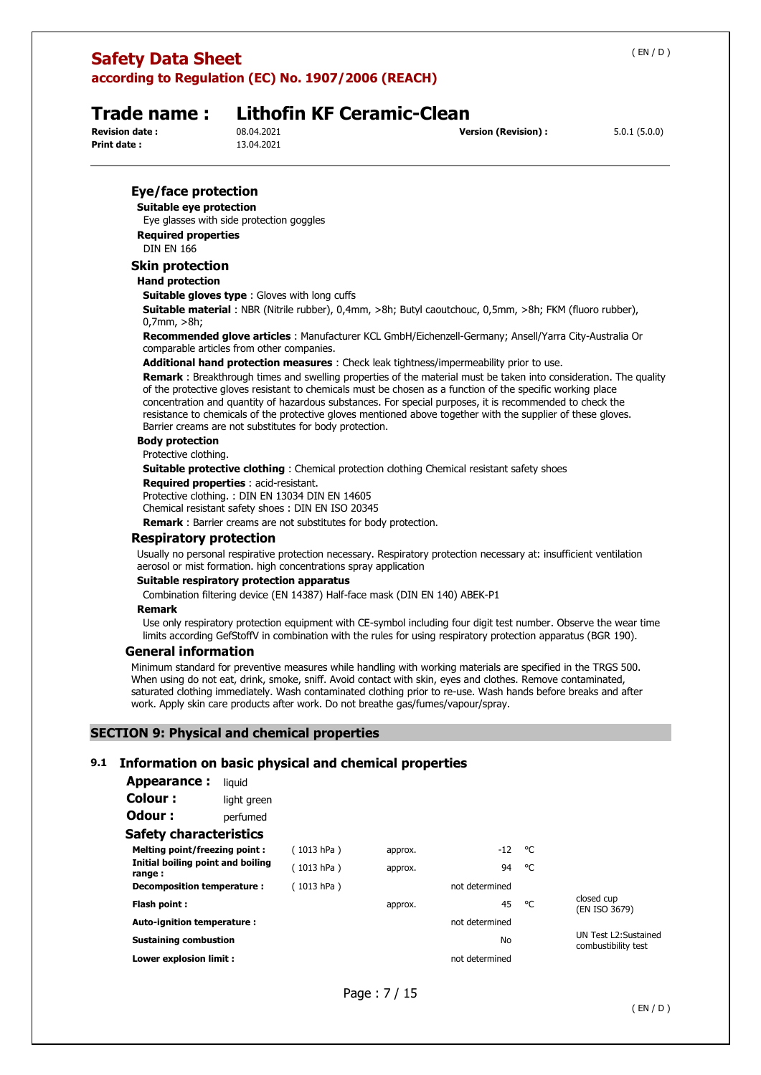## **Safety Data Sheet according to Regulation (EC) No. 1907/2006 (REACH)**

## **Trade name : Lithofin KF Ceramic-Clean**

**Print date :** 13.04.2021

**Revision date :** 08.04.2021 **Version (Revision) :** 5.0.1 (5.0.0)

### **Eye/face protection**

**Suitable eye protection** 

Eye glasses with side protection goggles **Required properties** 

DIN EN 166

### **Skin protection**

## **Hand protection**

**Suitable gloves type** : Gloves with long cuffs

**Suitable material** : NBR (Nitrile rubber), 0,4mm, >8h; Butyl caoutchouc, 0,5mm, >8h; FKM (fluoro rubber), 0,7mm, >8h;

**Recommended glove articles** : Manufacturer KCL GmbH/Eichenzell-Germany; Ansell/Yarra City-Australia Or comparable articles from other companies.

**Additional hand protection measures** : Check leak tightness/impermeability prior to use.

**Remark** : Breakthrough times and swelling properties of the material must be taken into consideration. The quality of the protective gloves resistant to chemicals must be chosen as a function of the specific working place concentration and quantity of hazardous substances. For special purposes, it is recommended to check the resistance to chemicals of the protective gloves mentioned above together with the supplier of these gloves. Barrier creams are not substitutes for body protection.

### **Body protection**

Protective clothing.

**Suitable protective clothing** : Chemical protection clothing Chemical resistant safety shoes

**Required properties** : acid-resistant.

Protective clothing. : DIN EN 13034 DIN EN 14605

Chemical resistant safety shoes : DIN EN ISO 20345

**Remark** : Barrier creams are not substitutes for body protection.

### **Respiratory protection**

Usually no personal respirative protection necessary. Respiratory protection necessary at: insufficient ventilation aerosol or mist formation. high concentrations spray application

### **Suitable respiratory protection apparatus**

Combination filtering device (EN 14387) Half-face mask (DIN EN 140) ABEK-P1

### **Remark**

Use only respiratory protection equipment with CE-symbol including four digit test number. Observe the wear time limits according GefStoffV in combination with the rules for using respiratory protection apparatus (BGR 190).

### **General information**

Minimum standard for preventive measures while handling with working materials are specified in the TRGS 500. When using do not eat, drink, smoke, sniff. Avoid contact with skin, eyes and clothes. Remove contaminated, saturated clothing immediately. Wash contaminated clothing prior to re-use. Wash hands before breaks and after work. Apply skin care products after work. Do not breathe gas/fumes/vapour/spray.

### **SECTION 9: Physical and chemical properties**

### **9.1 Information on basic physical and chemical properties**

| Appearance :                                 | liguid      |            |         |                |    |                                             |
|----------------------------------------------|-------------|------------|---------|----------------|----|---------------------------------------------|
| Colour:                                      | light green |            |         |                |    |                                             |
| Odour :                                      | perfumed    |            |         |                |    |                                             |
| <b>Safety characteristics</b>                |             |            |         |                |    |                                             |
| <b>Melting point/freezing point:</b>         |             | (1013 hPa) | approx. | -12            | °C |                                             |
| Initial boiling point and boiling<br>range : |             | (1013 hPa) | approx. | 94             | °C |                                             |
| Decomposition temperature :                  |             | (1013 hPa) |         | not determined |    |                                             |
| Flash point:                                 |             |            | approx. | 45             | °C | closed cup<br>(EN ISO 3679)                 |
| Auto-ignition temperature:                   |             |            |         | not determined |    |                                             |
| <b>Sustaining combustion</b>                 |             |            |         | No             |    | UN Test L2:Sustained<br>combustibility test |
| Lower explosion limit :                      |             |            |         | not determined |    |                                             |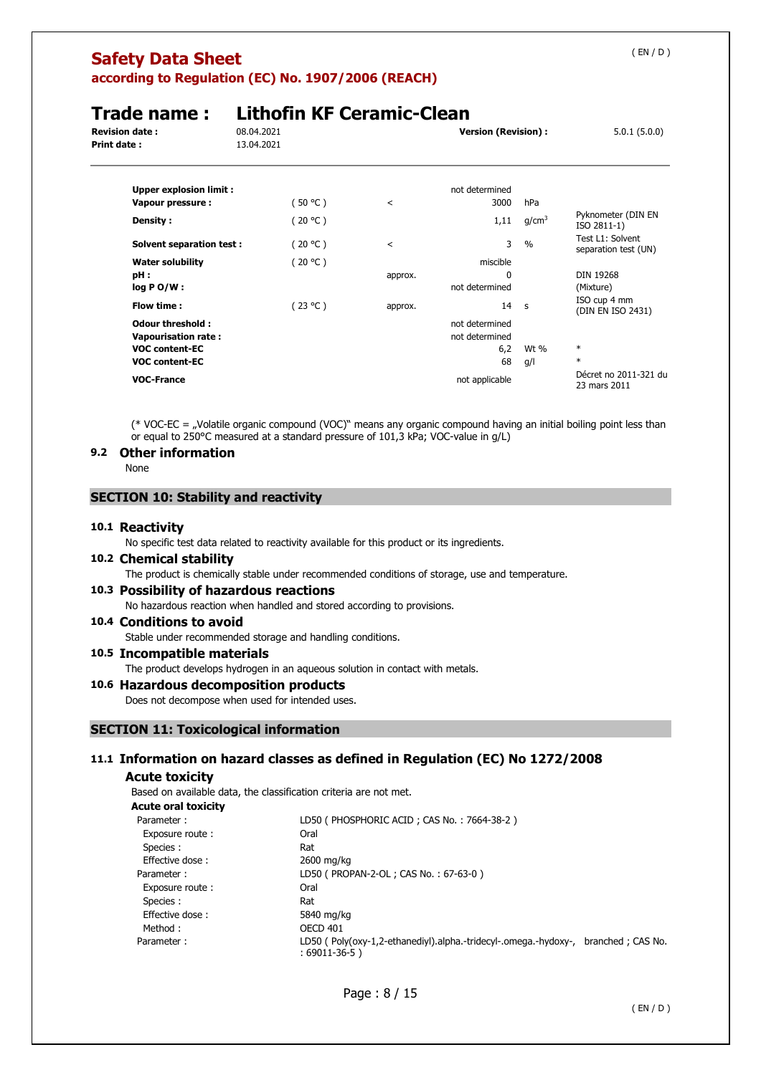# **Safety Data Sheet**

**according to Regulation (EC) No. 1907/2006 (REACH)** 

## **Trade name : Lithofin KF Ceramic-Clean**<br>Revision date : 08.04.2021 **Revision date : 18.04.2021 Version (Revision) :** 5.0.1 (5.0.0) **Version (Revision)** : 5.0.1 (5.0.0) **Print date: Upper explosion limit : not determined Vapour pressure :**  $(50 °C)$  < 3000 hPa **Density :**  $(20 \degree C)$   $(20 \degree C)$   $(1,11 \degree g/cm^3)$  Pyknometer (DIN EN ISO 2811-1) **Solvent separation test :**  $(20 °C)$  < 3 % Test L1: Solvent separation test (UN) **Water solubility and in the contract of the CO** (20 °C ) **misciple misciple pH :** approx. 0 DIN 19268

| water solubility      | ( 20 °C ) |         | THISCIDIE      |      |                                       |
|-----------------------|-----------|---------|----------------|------|---------------------------------------|
| pH :                  |           | approx. | 0              |      | DIN 19268                             |
| log P O/W :           |           |         | not determined |      | (Mixture)                             |
| Flow time :           | (23 °C )  | approx. | 14             | - S  | ISO cup 4 mm<br>(DIN EN ISO 2431)     |
| Odour threshold :     |           |         | not determined |      |                                       |
| Vapourisation rate :  |           |         | not determined |      |                                       |
| <b>VOC content-EC</b> |           |         | 6,2            | Wt % | $\ast$                                |
| <b>VOC content-EC</b> |           |         | 68             | g/l  | $\ast$                                |
| <b>VOC-France</b>     |           |         | not applicable |      | Décret no 2011-321 du<br>23 mars 2011 |

(\* VOC-EC = "Volatile organic compound (VOC)" means any organic compound having an initial boiling point less than or equal to 250°C measured at a standard pressure of 101,3 kPa; VOC-value in g/L)

### **9.2 Other information**

None

### **SECTION 10: Stability and reactivity**

### **10.1 Reactivity**

No specific test data related to reactivity available for this product or its ingredients.

### **10.2 Chemical stability**

The product is chemically stable under recommended conditions of storage, use and temperature.

### **10.3 Possibility of hazardous reactions**

No hazardous reaction when handled and stored according to provisions.

## **10.4 Conditions to avoid**

Stable under recommended storage and handling conditions.

## **10.5 Incompatible materials**

The product develops hydrogen in an aqueous solution in contact with metals.

### **10.6 Hazardous decomposition products**

Does not decompose when used for intended uses.

### **SECTION 11: Toxicological information**

### **11.1 Information on hazard classes as defined in Regulation (EC) No 1272/2008**

### **Acute toxicity**

Based on available data, the classification criteria are not met.

### **Acute oral toxicity**

| Parameter:      | LD50 (PHOSPHORIC ACID; CAS No.: 7664-38-2)                                        |                   |
|-----------------|-----------------------------------------------------------------------------------|-------------------|
| Exposure route: | Oral                                                                              |                   |
| Species :       | Rat                                                                               |                   |
| Effective dose: | 2600 mg/kg                                                                        |                   |
| Parameter:      | LD50 ( PROPAN-2-OL ; CAS No.: 67-63-0 )                                           |                   |
| Exposure route: | Oral                                                                              |                   |
| Species :       | Rat                                                                               |                   |
| Effective dose: | 5840 mg/kg                                                                        |                   |
| Method :        | OECD 401                                                                          |                   |
| Parameter:      | LD50 (Poly(oxy-1,2-ethanediyl).alpha.-tridecyl-.omega.-hydoxy-,<br>$:69011-36-5)$ | branched; CAS No. |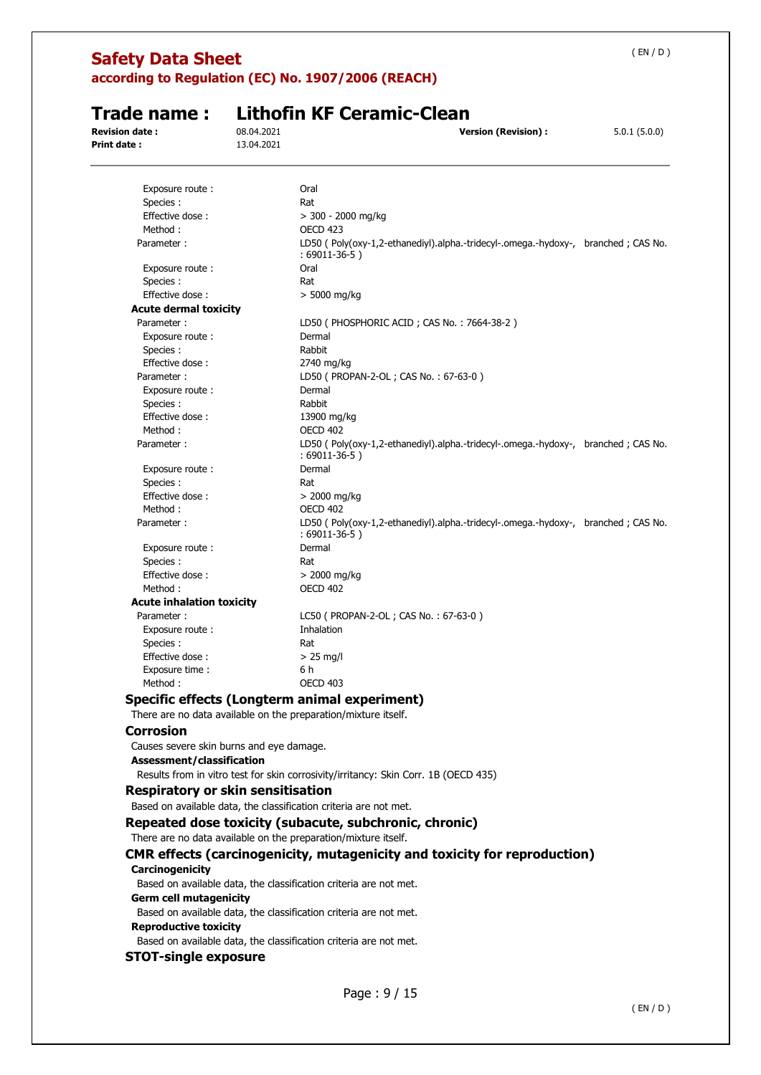## **Safety Data Sheet**

**according to Regulation (EC) No. 1907/2006 (REACH)** 

**Trade name : Lithofin KF Ceramic-Clean**

**Revision date :** 08.04.2021 **Version (Revision) :** 5.0.1 (5.0.0) **Print date :** 13.04.2021 Exposure route : Call Coral Species : Rational Species : Rational Species : Rational Species of Rational Species of Rational Species of Rational Species of Rational Species of Rational Species of Rational Species of Rational Species of Rational Speci Effective dose : > 300 - 2000 mg/kg Method : OECD 423 Parameter : LD50 ( Poly(oxy-1,2-ethanediyl).alpha.-tridecyl-.omega.-hydoxy-, branched ; CAS No. : 69011-36-5 ) Exposure route : The Coral Species : Rat Effective dose :  $> 5000$  mg/kg **Acute dermal toxicity**  Parameter : LD50 ( PHOSPHORIC ACID ; CAS No. : 7664-38-2 ) Exposure route : Dermal Species : Rabbit Effective dose : 2740 mg/kg Parameter : LD50 ( PROPAN-2-OL ; CAS No. : 67-63-0 ) Exposure route : Dermal Species : Rabbit Effective dose : 13900 mg/kg Method : OECD 402 Parameter : LD50 ( Poly(oxy-1,2-ethanediyl).alpha.-tridecyl-.omega.-hydoxy-, branched ; CAS No. : 69011-36-5 ) Exposure route : Dermal Species : Rat Effective dose :  $> 2000$  mg/kg Method : OECD 402 Parameter : LD50 ( Poly(oxy-1,2-ethanediyl).alpha.-tridecyl-.omega.-hydoxy-, branched ; CAS No. : 69011-36-5 ) Exposure route : Dermal Species : Rat Effective dose :  $> 2000 \text{ mg/kg}$ Method : OECD 402 **Acute inhalation toxicity**  Parameter : LC50 ( PROPAN-2-OL ; CAS No. : 67-63-0 ) Exposure route : Thhalation Species : Rat Effective dose :  $> 25$  mg/l Exposure time : 6 h Method : OECD 403 **Specific effects (Longterm animal experiment)**  There are no data available on the preparation/mixture itself. **Corrosion**  Causes severe skin burns and eye damage. **Assessment/classification**  Results from in vitro test for skin corrosivity/irritancy: Skin Corr. 1B (OECD 435) **Respiratory or skin sensitisation**  Based on available data, the classification criteria are not met. **Repeated dose toxicity (subacute, subchronic, chronic)**  There are no data available on the preparation/mixture itself. **CMR effects (carcinogenicity, mutagenicity and toxicity for reproduction) Carcinogenicity**  Based on available data, the classification criteria are not met. **Germ cell mutagenicity**  Based on available data, the classification criteria are not met. **Reproductive toxicity**  Based on available data, the classification criteria are not met. **STOT-single exposure** 

( EN / D )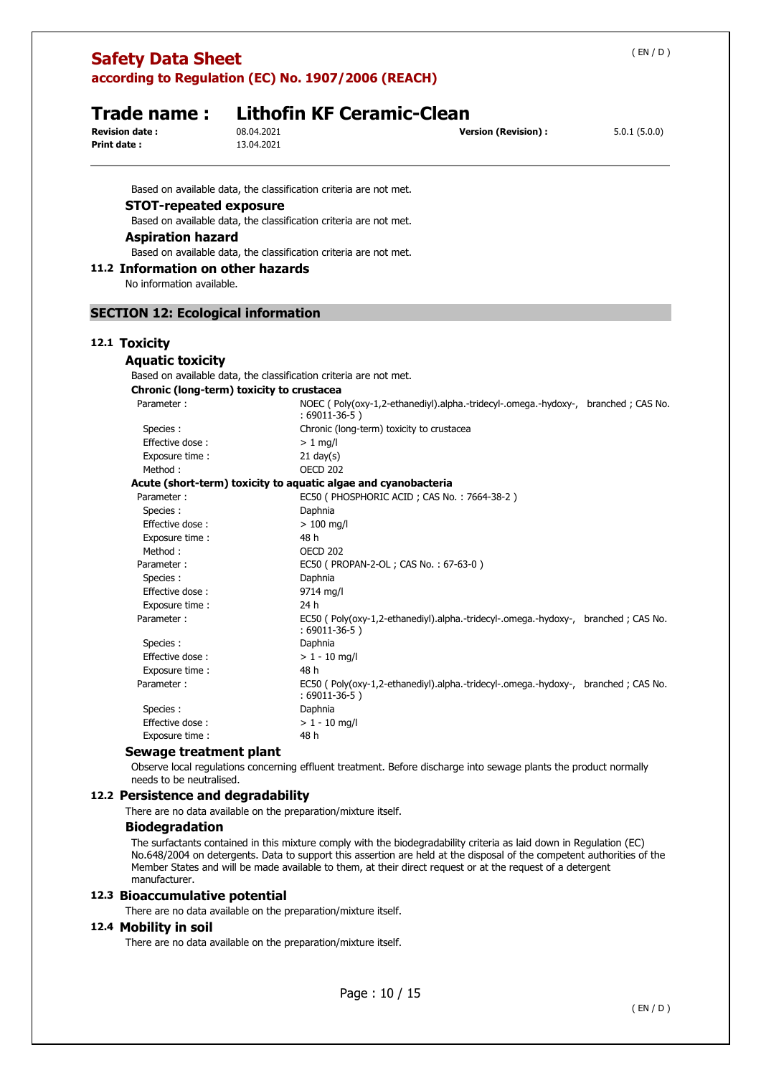| <b>Safety Data Sheet</b><br>according to Regulation (EC) No. 1907/2006 (REACH) |                                                                   |                                                                                                                   | (EN/D)       |
|--------------------------------------------------------------------------------|-------------------------------------------------------------------|-------------------------------------------------------------------------------------------------------------------|--------------|
| Trade name:<br><b>Revision date:</b><br>Print date:                            | 08.04.2021<br>13.04.2021                                          | <b>Lithofin KF Ceramic-Clean</b><br><b>Version (Revision):</b>                                                    | 5.0.1(5.0.0) |
|                                                                                | Based on available data, the classification criteria are not met. |                                                                                                                   |              |
| <b>STOT-repeated exposure</b>                                                  |                                                                   |                                                                                                                   |              |
|                                                                                | Based on available data, the classification criteria are not met. |                                                                                                                   |              |
| <b>Aspiration hazard</b>                                                       |                                                                   |                                                                                                                   |              |
|                                                                                | Based on available data, the classification criteria are not met. |                                                                                                                   |              |
| 11.2 Information on other hazards                                              |                                                                   |                                                                                                                   |              |
| No information available.                                                      |                                                                   |                                                                                                                   |              |
|                                                                                |                                                                   |                                                                                                                   |              |
| <b>SECTION 12: Ecological information</b>                                      |                                                                   |                                                                                                                   |              |
|                                                                                |                                                                   |                                                                                                                   |              |
| 12.1 Toxicity                                                                  |                                                                   |                                                                                                                   |              |
| <b>Aquatic toxicity</b>                                                        |                                                                   |                                                                                                                   |              |
|                                                                                | Based on available data, the classification criteria are not met. |                                                                                                                   |              |
|                                                                                | Chronic (long-term) toxicity to crustacea                         |                                                                                                                   |              |
| Parameter:                                                                     |                                                                   | NOEC (Poly(oxy-1,2-ethanediyl).alpha.-tridecyl-.omega.-hydoxy-, branched; CAS No.<br>$:69011-36-5)$               |              |
| Species :                                                                      |                                                                   | Chronic (long-term) toxicity to crustacea                                                                         |              |
| Effective dose:                                                                | $> 1$ mg/l                                                        |                                                                                                                   |              |
| Exposure time :                                                                |                                                                   | $21$ day(s)                                                                                                       |              |
| Method:                                                                        |                                                                   | <b>OECD 202</b>                                                                                                   |              |
|                                                                                |                                                                   | Acute (short-term) toxicity to aquatic algae and cyanobacteria                                                    |              |
| Parameter:                                                                     |                                                                   | EC50 (PHOSPHORIC ACID; CAS No.: 7664-38-2)                                                                        |              |
| Species:                                                                       | Daphnia                                                           |                                                                                                                   |              |
| Effective dose:                                                                | 48 h                                                              | $> 100$ mg/l                                                                                                      |              |
| Exposure time:<br>Method:                                                      |                                                                   | OECD 202                                                                                                          |              |
| Parameter:                                                                     |                                                                   | EC50 ( PROPAN-2-OL ; CAS No.: 67-63-0 )                                                                           |              |
| Species:                                                                       | Daphnia                                                           |                                                                                                                   |              |
| Effective dose:                                                                |                                                                   | 9714 mg/l                                                                                                         |              |
| Exposure time :                                                                | 24 h                                                              |                                                                                                                   |              |
| Parameter:                                                                     |                                                                   | EC50 (Poly(oxy-1,2-ethanediyl).alpha.-tridecyl-.omega.-hydoxy-, branched; CAS No.<br>: 69011-36-5)                |              |
| Species :                                                                      | Daphnia                                                           |                                                                                                                   |              |
| Effective dose:                                                                |                                                                   | $> 1 - 10$ mg/l                                                                                                   |              |
| Exposure time:                                                                 | 48 h                                                              |                                                                                                                   |              |
| Parameter:                                                                     |                                                                   | EC50 (Poly(oxy-1,2-ethanediyl).alpha.-tridecyl-.omega.-hydoxy-, branched; CAS No.<br>$:69011-36-5)$               |              |
| Species :                                                                      | Daphnia                                                           |                                                                                                                   |              |
| Effective dose:                                                                |                                                                   | $> 1 - 10$ mg/l                                                                                                   |              |
| Exposure time:                                                                 | 48 h                                                              |                                                                                                                   |              |
| Sewage treatment plant                                                         |                                                                   |                                                                                                                   |              |
| needs to be neutralised.                                                       |                                                                   | Observe local regulations concerning effluent treatment. Before discharge into sewage plants the product normally |              |

### **12.2 Persistence and degradability**

There are no data available on the preparation/mixture itself.

### **Biodegradation**

The surfactants contained in this mixture comply with the biodegradability criteria as laid down in Regulation (EC) No.648/2004 on detergents. Data to support this assertion are held at the disposal of the competent authorities of the Member States and will be made available to them, at their direct request or at the request of a detergent manufacturer.

### **12.3 Bioaccumulative potential**

There are no data available on the preparation/mixture itself.

### **12.4 Mobility in soil**

There are no data available on the preparation/mixture itself.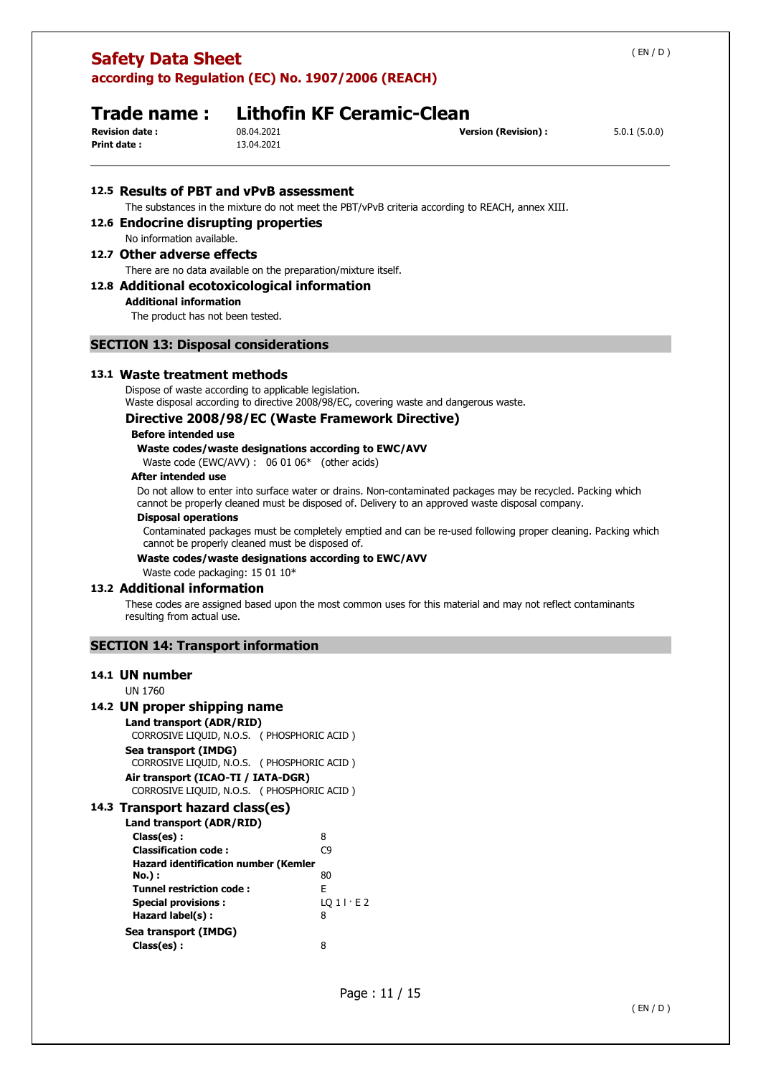| <b>Safety Data Sheet</b>                                                                                                                                                                                                                               |                                                                                                                                                                                                                                                                                                                              |                                                                                                                                                                                                                                                                                                                                                                                                                          | (EN/D)       |
|--------------------------------------------------------------------------------------------------------------------------------------------------------------------------------------------------------------------------------------------------------|------------------------------------------------------------------------------------------------------------------------------------------------------------------------------------------------------------------------------------------------------------------------------------------------------------------------------|--------------------------------------------------------------------------------------------------------------------------------------------------------------------------------------------------------------------------------------------------------------------------------------------------------------------------------------------------------------------------------------------------------------------------|--------------|
| Trade name:<br><b>Revision date:</b><br><b>Print date:</b>                                                                                                                                                                                             | according to Regulation (EC) No. 1907/2006 (REACH)<br><b>Lithofin KF Ceramic-Clean</b><br>08.04.2021<br>13.04.2021                                                                                                                                                                                                           | <b>Version (Revision):</b>                                                                                                                                                                                                                                                                                                                                                                                               | 5.0.1(5.0.0) |
| 12.6 Endocrine disrupting properties                                                                                                                                                                                                                   | 12.5 Results of PBT and vPvB assessment                                                                                                                                                                                                                                                                                      | The substances in the mixture do not meet the PBT/vPvB criteria according to REACH, annex XIII.                                                                                                                                                                                                                                                                                                                          |              |
| No information available.                                                                                                                                                                                                                              |                                                                                                                                                                                                                                                                                                                              |                                                                                                                                                                                                                                                                                                                                                                                                                          |              |
| 12.7 Other adverse effects<br><b>Additional information</b><br>The product has not been tested.                                                                                                                                                        | There are no data available on the preparation/mixture itself.<br>12.8 Additional ecotoxicological information                                                                                                                                                                                                               |                                                                                                                                                                                                                                                                                                                                                                                                                          |              |
|                                                                                                                                                                                                                                                        | <b>SECTION 13: Disposal considerations</b>                                                                                                                                                                                                                                                                                   |                                                                                                                                                                                                                                                                                                                                                                                                                          |              |
| 13.1 Waste treatment methods<br><b>Before intended use</b><br>After intended use<br><b>Disposal operations</b><br>Waste code packaging: 15 01 10*                                                                                                      | Dispose of waste according to applicable legislation.<br>Directive 2008/98/EC (Waste Framework Directive)<br>Waste codes/waste designations according to EWC/AVV<br>Waste code (EWC/AVV) : 06 01 06* (other acids)<br>cannot be properly cleaned must be disposed of.<br>Waste codes/waste designations according to EWC/AVV | Waste disposal according to directive 2008/98/EC, covering waste and dangerous waste.<br>Do not allow to enter into surface water or drains. Non-contaminated packages may be recycled. Packing which<br>cannot be properly cleaned must be disposed of. Delivery to an approved waste disposal company.<br>Contaminated packages must be completely emptied and can be re-used following proper cleaning. Packing which |              |
| 13.2 Additional information<br>resulting from actual use.                                                                                                                                                                                              |                                                                                                                                                                                                                                                                                                                              | These codes are assigned based upon the most common uses for this material and may not reflect contaminants                                                                                                                                                                                                                                                                                                              |              |
| <b>SECTION 14: Transport information</b>                                                                                                                                                                                                               |                                                                                                                                                                                                                                                                                                                              |                                                                                                                                                                                                                                                                                                                                                                                                                          |              |
| 14.1 UN number                                                                                                                                                                                                                                         |                                                                                                                                                                                                                                                                                                                              |                                                                                                                                                                                                                                                                                                                                                                                                                          |              |
| UN 1760<br>14.2 UN proper shipping name<br>Land transport (ADR/RID)<br>Sea transport (IMDG)<br>Air transport (ICAO-TI / IATA-DGR)                                                                                                                      | CORROSIVE LIQUID, N.O.S. (PHOSPHORIC ACID)<br>CORROSIVE LIQUID, N.O.S. ( PHOSPHORIC ACID )<br>CORROSIVE LIQUID, N.O.S. (PHOSPHORIC ACID)                                                                                                                                                                                     |                                                                                                                                                                                                                                                                                                                                                                                                                          |              |
| 14.3 Transport hazard class(es)<br>Land transport (ADR/RID)<br>Class(es):<br><b>Classification code:</b><br><b>No.</b> ) :<br><b>Tunnel restriction code:</b><br><b>Special provisions:</b><br>Hazard label(s) :<br>Sea transport (IMDG)<br>Class(es): | 8<br>C9<br><b>Hazard identification number (Kemler</b><br>80<br>E<br>$LQ1$ $E2$<br>8<br>8                                                                                                                                                                                                                                    |                                                                                                                                                                                                                                                                                                                                                                                                                          |              |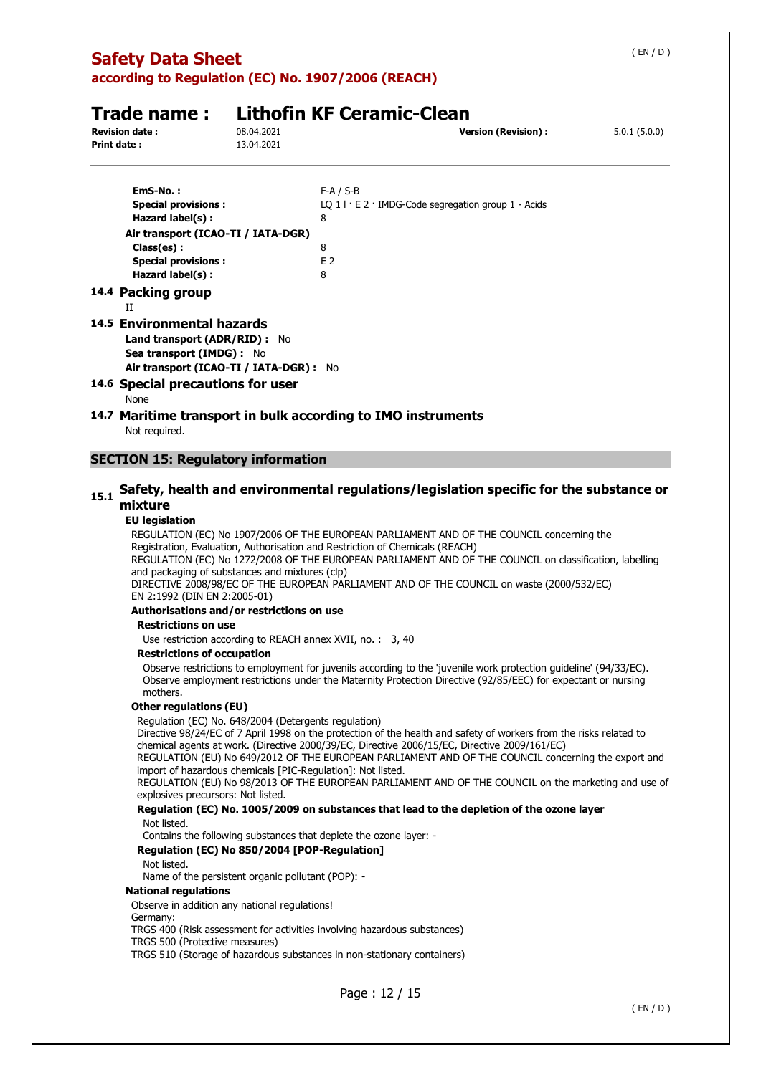| (EN/D)<br><b>Safety Data Sheet</b><br>according to Regulation (EC) No. 1907/2006 (REACH)                                                  |                          |                                                                                       |              |  |  |  |
|-------------------------------------------------------------------------------------------------------------------------------------------|--------------------------|---------------------------------------------------------------------------------------|--------------|--|--|--|
| <b>Revision date:</b><br><b>Print date:</b>                                                                                               | 08.04.2021<br>13.04.2021 | Trade name: Lithofin KF Ceramic-Clean<br><b>Version (Revision):</b>                   | 5.0.1(5.0.0) |  |  |  |
| EmS-No.:<br><b>Special provisions:</b><br>Hazard label(s):                                                                                |                          | $F-A / S-B$<br>LQ $1 \mid E2 \cdot \text{IMDG-Code segregation}$ group 1 - Acids<br>8 |              |  |  |  |
| Air transport (ICAO-TI / IATA-DGR)<br>Class(es):<br><b>Special provisions:</b><br>Hazard label(s):                                        |                          | 8<br>F <sub>2</sub><br>8                                                              |              |  |  |  |
| 14.4 Packing group<br>$\mathbf{I}$                                                                                                        |                          |                                                                                       |              |  |  |  |
| 14.5 Environmental hazards<br><b>Land transport (ADR/RID):</b> No<br>Sea transport (IMDG) : No<br>Air transport (ICAO-TI / IATA-DGR) : No |                          |                                                                                       |              |  |  |  |
| 14.6 Special precautions for user<br>None                                                                                                 |                          |                                                                                       |              |  |  |  |
| Not required.                                                                                                                             |                          | 14.7 Maritime transport in bulk according to IMO instruments                          |              |  |  |  |
| <b>SECTION 15: Regulatory information</b>                                                                                                 |                          |                                                                                       |              |  |  |  |

## **15.1 Safety, health and environmental regulations/legislation specific for the substance or mixture**

### **EU legislation**

REGULATION (EC) No 1907/2006 OF THE EUROPEAN PARLIAMENT AND OF THE COUNCIL concerning the Registration, Evaluation, Authorisation and Restriction of Chemicals (REACH)

REGULATION (EC) No 1272/2008 OF THE EUROPEAN PARLIAMENT AND OF THE COUNCIL on classification, labelling and packaging of substances and mixtures (clp)

DIRECTIVE 2008/98/EC OF THE EUROPEAN PARLIAMENT AND OF THE COUNCIL on waste (2000/532/EC) EN 2:1992 (DIN EN 2:2005-01)

### **Authorisations and/or restrictions on use**

### **Restrictions on use**

Use restriction according to REACH annex XVII, no. : 3, 40

### **Restrictions of occupation**

Observe restrictions to employment for juvenils according to the 'juvenile work protection guideline' (94/33/EC). Observe employment restrictions under the Maternity Protection Directive (92/85/EEC) for expectant or nursing mothers.

### **Other regulations (EU)**

Regulation (EC) No. 648/2004 (Detergents regulation)

Directive 98/24/EC of 7 April 1998 on the protection of the health and safety of workers from the risks related to chemical agents at work. (Directive 2000/39/EC, Directive 2006/15/EC, Directive 2009/161/EC)

REGULATION (EU) No 649/2012 OF THE EUROPEAN PARLIAMENT AND OF THE COUNCIL concerning the export and import of hazardous chemicals [PIC-Regulation]: Not listed.

REGULATION (EU) No 98/2013 OF THE EUROPEAN PARLIAMENT AND OF THE COUNCIL on the marketing and use of explosives precursors: Not listed.

### **Regulation (EC) No. 1005/2009 on substances that lead to the depletion of the ozone layer**  Not listed.

Contains the following substances that deplete the ozone layer: -

### **Regulation (EC) No 850/2004 [POP-Regulation]**

### Not listed.

Name of the persistent organic pollutant (POP): -

### **National regulations**

Observe in addition any national regulations!

### Germany:

TRGS 400 (Risk assessment for activities involving hazardous substances)

TRGS 500 (Protective measures)

TRGS 510 (Storage of hazardous substances in non-stationary containers)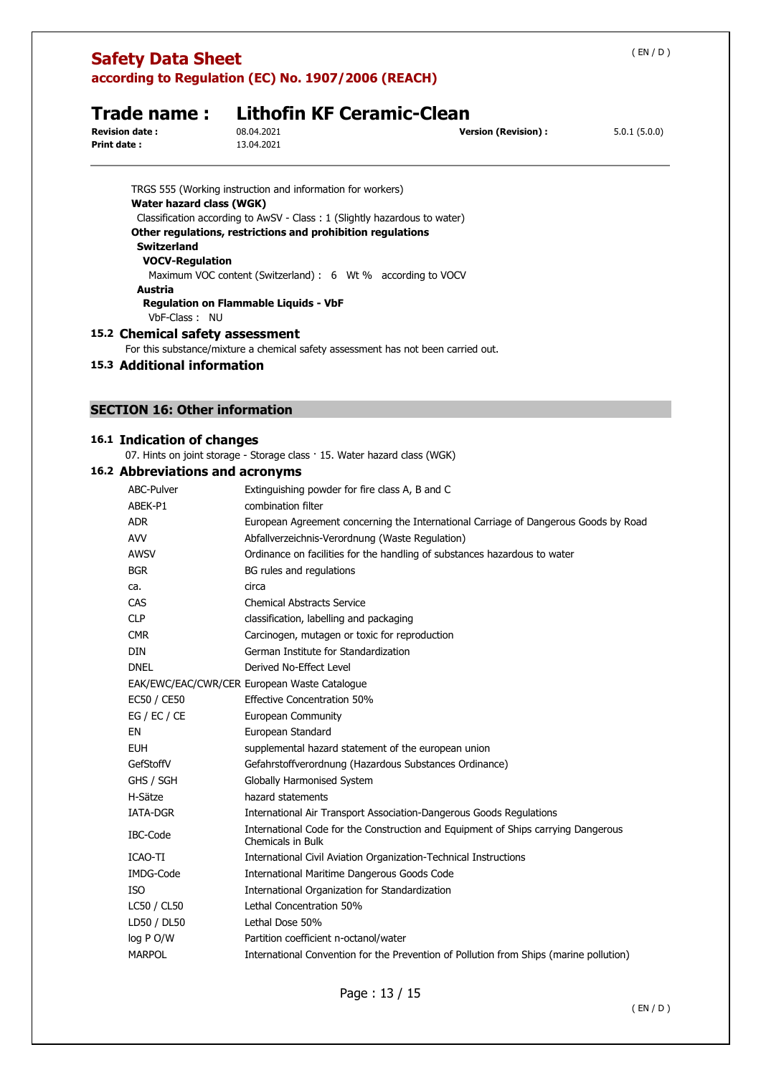| <b>Safety Data Sheet</b>                                                                                                                | according to Regulation (EC) No. 1907/2006 (REACH)                                                                                                                                                                                                                                                                     |                                                                                     | (EN/D)       |
|-----------------------------------------------------------------------------------------------------------------------------------------|------------------------------------------------------------------------------------------------------------------------------------------------------------------------------------------------------------------------------------------------------------------------------------------------------------------------|-------------------------------------------------------------------------------------|--------------|
| <b>Trade name:</b><br><b>Revision date:</b><br><b>Print date:</b>                                                                       | <b>Lithofin KF Ceramic-Clean</b><br>08.04.2021<br>13.04.2021                                                                                                                                                                                                                                                           | <b>Version (Revision):</b>                                                          | 5.0.1(5.0.0) |
| Water hazard class (WGK)<br><b>Switzerland</b><br><b>VOCV-Regulation</b><br>Austria<br>VbF-Class: NU<br>15.2 Chemical safety assessment | TRGS 555 (Working instruction and information for workers)<br>Classification according to AwSV - Class: 1 (Slightly hazardous to water)<br>Other regulations, restrictions and prohibition regulations<br>Maximum VOC content (Switzerland) : 6 Wt % according to VOCV<br><b>Regulation on Flammable Liquids - VbF</b> |                                                                                     |              |
|                                                                                                                                         | For this substance/mixture a chemical safety assessment has not been carried out.                                                                                                                                                                                                                                      |                                                                                     |              |
| 15.3 Additional information                                                                                                             |                                                                                                                                                                                                                                                                                                                        |                                                                                     |              |
|                                                                                                                                         |                                                                                                                                                                                                                                                                                                                        |                                                                                     |              |
| <b>SECTION 16: Other information</b>                                                                                                    |                                                                                                                                                                                                                                                                                                                        |                                                                                     |              |
|                                                                                                                                         |                                                                                                                                                                                                                                                                                                                        |                                                                                     |              |
| 16.1 Indication of changes                                                                                                              |                                                                                                                                                                                                                                                                                                                        |                                                                                     |              |
|                                                                                                                                         | 07. Hints on joint storage - Storage class · 15. Water hazard class (WGK)                                                                                                                                                                                                                                              |                                                                                     |              |
| 16.2 Abbreviations and acronyms                                                                                                         |                                                                                                                                                                                                                                                                                                                        |                                                                                     |              |
| ABC-Pulver                                                                                                                              | Extinguishing powder for fire class A, B and C                                                                                                                                                                                                                                                                         |                                                                                     |              |
| ABEK-P1                                                                                                                                 | combination filter                                                                                                                                                                                                                                                                                                     |                                                                                     |              |
| <b>ADR</b>                                                                                                                              |                                                                                                                                                                                                                                                                                                                        | European Agreement concerning the International Carriage of Dangerous Goods by Road |              |
| <b>AVV</b><br><b>AWSV</b>                                                                                                               | Abfallverzeichnis-Verordnung (Waste Regulation)                                                                                                                                                                                                                                                                        |                                                                                     |              |
| <b>BGR</b>                                                                                                                              | BG rules and regulations                                                                                                                                                                                                                                                                                               | Ordinance on facilities for the handling of substances hazardous to water           |              |
| ca.                                                                                                                                     | circa                                                                                                                                                                                                                                                                                                                  |                                                                                     |              |
| CAS                                                                                                                                     | <b>Chemical Abstracts Service</b>                                                                                                                                                                                                                                                                                      |                                                                                     |              |
| <b>CLP</b>                                                                                                                              | classification, labelling and packaging                                                                                                                                                                                                                                                                                |                                                                                     |              |
| <b>CMR</b>                                                                                                                              | Carcinogen, mutagen or toxic for reproduction                                                                                                                                                                                                                                                                          |                                                                                     |              |
| <b>DIN</b>                                                                                                                              | German Institute for Standardization                                                                                                                                                                                                                                                                                   |                                                                                     |              |
| <b>DNEL</b>                                                                                                                             | Derived No-Effect Level                                                                                                                                                                                                                                                                                                |                                                                                     |              |
|                                                                                                                                         | EAK/EWC/EAC/CWR/CER European Waste Catalogue                                                                                                                                                                                                                                                                           |                                                                                     |              |
| EC50 / CE50                                                                                                                             | <b>Effective Concentration 50%</b>                                                                                                                                                                                                                                                                                     |                                                                                     |              |
| EG / EC / CE                                                                                                                            | European Community                                                                                                                                                                                                                                                                                                     |                                                                                     |              |
| EN                                                                                                                                      | European Standard                                                                                                                                                                                                                                                                                                      |                                                                                     |              |
| <b>EUH</b>                                                                                                                              | supplemental hazard statement of the european union                                                                                                                                                                                                                                                                    |                                                                                     |              |
| GefStoffV                                                                                                                               | Gefahrstoffverordnung (Hazardous Substances Ordinance)                                                                                                                                                                                                                                                                 |                                                                                     |              |
| GHS / SGH                                                                                                                               | Globally Harmonised System                                                                                                                                                                                                                                                                                             |                                                                                     |              |
| H-Sätze                                                                                                                                 | hazard statements                                                                                                                                                                                                                                                                                                      |                                                                                     |              |
| IATA-DGR                                                                                                                                |                                                                                                                                                                                                                                                                                                                        | International Air Transport Association-Dangerous Goods Regulations                 |              |
| IBC-Code                                                                                                                                | Chemicals in Bulk                                                                                                                                                                                                                                                                                                      | International Code for the Construction and Equipment of Ships carrying Dangerous   |              |
| ICAO-TI                                                                                                                                 | International Civil Aviation Organization-Technical Instructions                                                                                                                                                                                                                                                       |                                                                                     |              |
| IMDG-Code                                                                                                                               | International Maritime Dangerous Goods Code                                                                                                                                                                                                                                                                            |                                                                                     |              |
| <b>ISO</b>                                                                                                                              | International Organization for Standardization                                                                                                                                                                                                                                                                         |                                                                                     |              |
| LC50 / CL50                                                                                                                             | Lethal Concentration 50%                                                                                                                                                                                                                                                                                               |                                                                                     |              |
| LD50 / DL50                                                                                                                             | Lethal Dose 50%                                                                                                                                                                                                                                                                                                        |                                                                                     |              |
| log P O/W                                                                                                                               | Partition coefficient n-octanol/water                                                                                                                                                                                                                                                                                  |                                                                                     |              |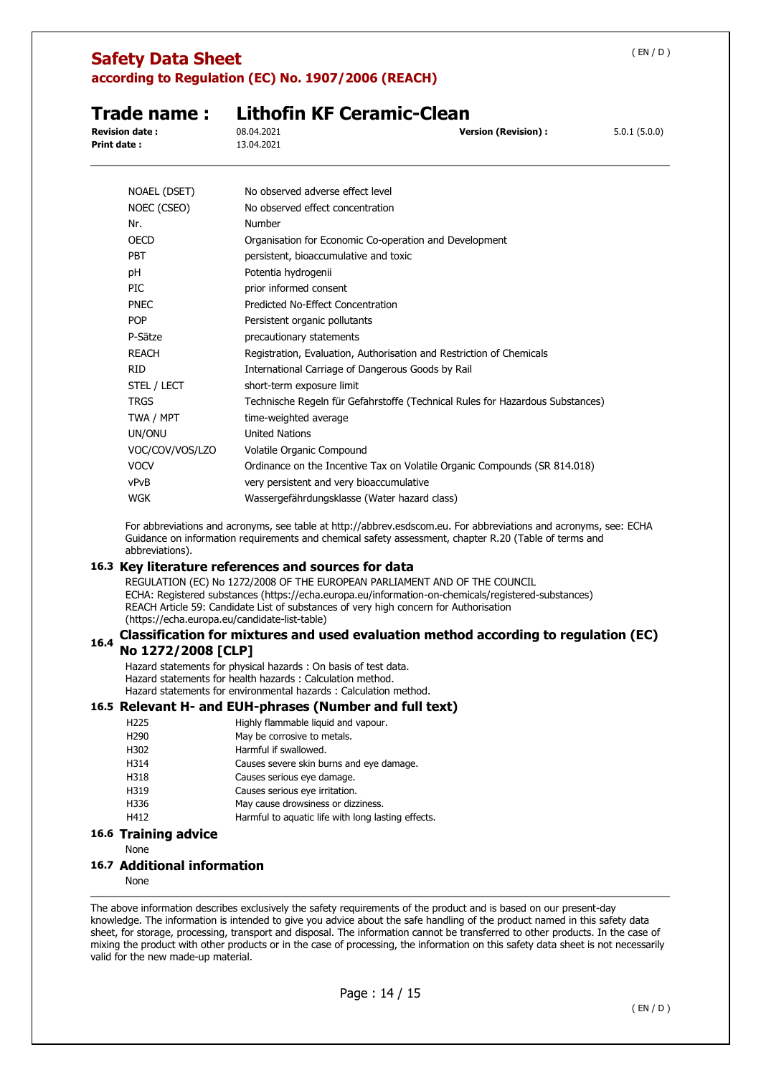| (EN/D)<br><b>Safety Data Sheet</b><br>according to Regulation (EC) No. 1907/2006 (REACH) |                                                                                                                                                                                                                                                                            |              |  |
|------------------------------------------------------------------------------------------|----------------------------------------------------------------------------------------------------------------------------------------------------------------------------------------------------------------------------------------------------------------------------|--------------|--|
| Trade name:                                                                              | <b>Lithofin KF Ceramic-Clean</b>                                                                                                                                                                                                                                           |              |  |
| <b>Revision date:</b><br>Print date:                                                     | 08.04.2021<br><b>Version (Revision):</b><br>13.04.2021                                                                                                                                                                                                                     | 5.0.1(5.0.0) |  |
| NOAEL (DSET)                                                                             | No observed adverse effect level                                                                                                                                                                                                                                           |              |  |
| NOEC (CSEO)                                                                              | No observed effect concentration                                                                                                                                                                                                                                           |              |  |
| Nr.                                                                                      | Number                                                                                                                                                                                                                                                                     |              |  |
| OFCD                                                                                     | Organisation for Economic Co-operation and Development                                                                                                                                                                                                                     |              |  |
| PBT                                                                                      | persistent, bioaccumulative and toxic                                                                                                                                                                                                                                      |              |  |
| рH                                                                                       | Potentia hydrogenii                                                                                                                                                                                                                                                        |              |  |
| PIC                                                                                      | prior informed consent                                                                                                                                                                                                                                                     |              |  |
| <b>PNEC</b>                                                                              | Predicted No-Effect Concentration                                                                                                                                                                                                                                          |              |  |
| <b>POP</b>                                                                               | Persistent organic pollutants                                                                                                                                                                                                                                              |              |  |
| P-Sätze                                                                                  | precautionary statements                                                                                                                                                                                                                                                   |              |  |
| <b>REACH</b>                                                                             | Registration, Evaluation, Authorisation and Restriction of Chemicals                                                                                                                                                                                                       |              |  |
| <b>RID</b>                                                                               | International Carriage of Dangerous Goods by Rail                                                                                                                                                                                                                          |              |  |
| STEL / LECT                                                                              | short-term exposure limit                                                                                                                                                                                                                                                  |              |  |
| <b>TRGS</b>                                                                              | Technische Regeln für Gefahrstoffe (Technical Rules for Hazardous Substances)                                                                                                                                                                                              |              |  |
| TWA / MPT                                                                                | time-weighted average                                                                                                                                                                                                                                                      |              |  |
| UN/ONU                                                                                   | <b>United Nations</b>                                                                                                                                                                                                                                                      |              |  |
| VOC/COV/VOS/LZO                                                                          | Volatile Organic Compound                                                                                                                                                                                                                                                  |              |  |
| <b>VOCV</b>                                                                              | Ordinance on the Incentive Tax on Volatile Organic Compounds (SR 814.018)                                                                                                                                                                                                  |              |  |
| vPvB                                                                                     | very persistent and very bioaccumulative                                                                                                                                                                                                                                   |              |  |
| <b>WGK</b>                                                                               | Wassergefährdungsklasse (Water hazard class)                                                                                                                                                                                                                               |              |  |
| abbreviations).                                                                          | For abbreviations and acronyms, see table at http://abbrev.esdscom.eu. For abbreviations and acronyms, see: ECHA<br>Guidance on information requirements and chemical safety assessment, chapter R.20 (Table of terms and                                                  |              |  |
|                                                                                          | 16.3 Key literature references and sources for data                                                                                                                                                                                                                        |              |  |
| (https://echa.europa.eu/candidate-list-table)                                            | REGULATION (EC) No 1272/2008 OF THE EUROPEAN PARLIAMENT AND OF THE COUNCIL<br>ECHA: Registered substances (https://echa.europa.eu/information-on-chemicals/registered-substances)<br>REACH Article 59: Candidate List of substances of very high concern for Authorisation |              |  |

### **16.4 Classification for mixtures and used evaluation method according to regulation (EC) No 1272/2008 [CLP]**

Hazard statements for physical hazards : On basis of test data. Hazard statements for health hazards : Calculation method. Hazard statements for environmental hazards : Calculation method.

### **16.5 Relevant H- and EUH-phrases (Number and full text)**

H225 Highly flammable liquid and vapour. H290 May be corrosive to metals. H302 Harmful if swallowed. H314 Causes severe skin burns and eye damage. H318 Causes serious eye damage. H319 Causes serious eye irritation. H336 May cause drowsiness or dizziness. H412 Harmful to aquatic life with long lasting effects.

## **16.6 Training advice**

None

## **16.7 Additional information**

None

The above information describes exclusively the safety requirements of the product and is based on our present-day knowledge. The information is intended to give you advice about the safe handling of the product named in this safety data sheet, for storage, processing, transport and disposal. The information cannot be transferred to other products. In the case of mixing the product with other products or in the case of processing, the information on this safety data sheet is not necessarily valid for the new made-up material.